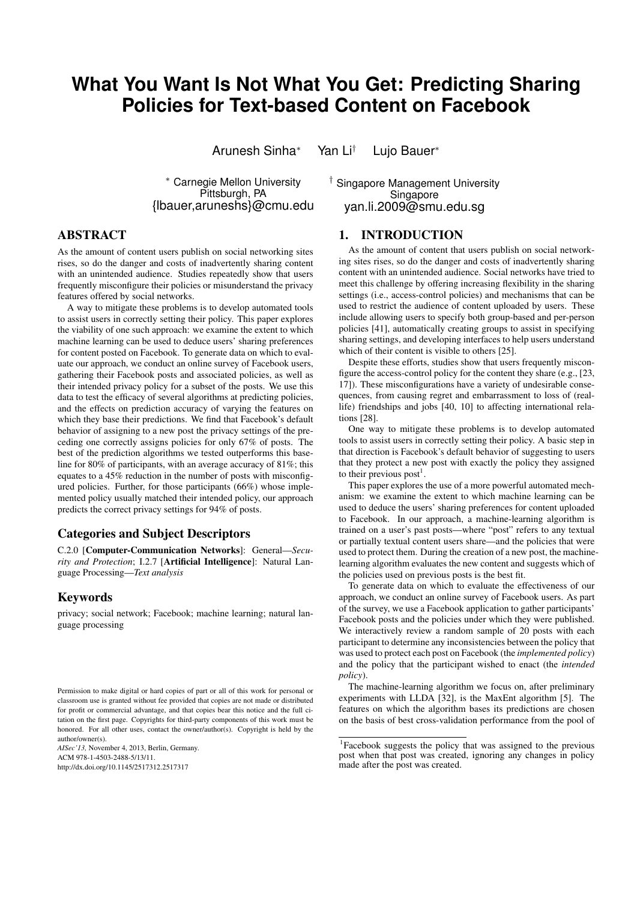# **What You Want Is Not What You Get: Predicting Sharing Policies for Text-based Content on Facebook**

Arunesh Sinha<sup>∗</sup> Yan Li† Lujo Bauer<sup>∗</sup>

<sup>∗</sup> Carnegie Mellon University Pittsburgh, PA {lbauer,aruneshs}@cmu.edu

# ABSTRACT

As the amount of content users publish on social networking sites rises, so do the danger and costs of inadvertently sharing content with an unintended audience. Studies repeatedly show that users frequently misconfigure their policies or misunderstand the privacy features offered by social networks.

A way to mitigate these problems is to develop automated tools to assist users in correctly setting their policy. This paper explores the viability of one such approach: we examine the extent to which machine learning can be used to deduce users' sharing preferences for content posted on Facebook. To generate data on which to evaluate our approach, we conduct an online survey of Facebook users, gathering their Facebook posts and associated policies, as well as their intended privacy policy for a subset of the posts. We use this data to test the efficacy of several algorithms at predicting policies, and the effects on prediction accuracy of varying the features on which they base their predictions. We find that Facebook's default behavior of assigning to a new post the privacy settings of the preceding one correctly assigns policies for only 67% of posts. The best of the prediction algorithms we tested outperforms this baseline for 80% of participants, with an average accuracy of 81%; this equates to a 45% reduction in the number of posts with misconfigured policies. Further, for those participants (66%) whose implemented policy usually matched their intended policy, our approach predicts the correct privacy settings for 94% of posts.

# Categories and Subject Descriptors

C.2.0 [Computer-Communication Networks]: General—*Security and Protection*; I.2.7 [Artificial Intelligence]: Natural Language Processing—*Text analysis*

# Keywords

privacy; social network; Facebook; machine learning; natural language processing

*AISec'13,* November 4, 2013, Berlin, Germany. ACM 978-1-4503-2488-5/13/11. http://dx.doi.org/10.1145/2517312.2517317

† Singapore Management University **Singapore** yan.li.2009@smu.edu.sg

# 1. INTRODUCTION

As the amount of content that users publish on social networking sites rises, so do the danger and costs of inadvertently sharing content with an unintended audience. Social networks have tried to meet this challenge by offering increasing flexibility in the sharing settings (i.e., access-control policies) and mechanisms that can be used to restrict the audience of content uploaded by users. These include allowing users to specify both group-based and per-person policies [41], automatically creating groups to assist in specifying sharing settings, and developing interfaces to help users understand which of their content is visible to others [25].

Despite these efforts, studies show that users frequently misconfigure the access-control policy for the content they share (e.g., [23, 17]). These misconfigurations have a variety of undesirable consequences, from causing regret and embarrassment to loss of (reallife) friendships and jobs [40, 10] to affecting international relations [28].

One way to mitigate these problems is to develop automated tools to assist users in correctly setting their policy. A basic step in that direction is Facebook's default behavior of suggesting to users that they protect a new post with exactly the policy they assigned to their previous post<sup>1</sup>.

This paper explores the use of a more powerful automated mechanism: we examine the extent to which machine learning can be used to deduce the users' sharing preferences for content uploaded to Facebook. In our approach, a machine-learning algorithm is trained on a user's past posts—where "post" refers to any textual or partially textual content users share—and the policies that were used to protect them. During the creation of a new post, the machinelearning algorithm evaluates the new content and suggests which of the policies used on previous posts is the best fit.

To generate data on which to evaluate the effectiveness of our approach, we conduct an online survey of Facebook users. As part of the survey, we use a Facebook application to gather participants' Facebook posts and the policies under which they were published. We interactively review a random sample of 20 posts with each participant to determine any inconsistencies between the policy that was used to protect each post on Facebook (the *implemented policy*) and the policy that the participant wished to enact (the *intended policy*).

The machine-learning algorithm we focus on, after preliminary experiments with LLDA [32], is the MaxEnt algorithm [5]. The features on which the algorithm bases its predictions are chosen on the basis of best cross-validation performance from the pool of

Permission to make digital or hard copies of part or all of this work for personal or classroom use is granted without fee provided that copies are not made or distributed for profit or commercial advantage, and that copies bear this notice and the full citation on the first page. Copyrights for third-party components of this work must be honored. For all other uses, contact the owner/author(s). Copyright is held by the author/owner(s).

<sup>&</sup>lt;sup>1</sup>Facebook suggests the policy that was assigned to the previous post when that post was created, ignoring any changes in policy made after the post was created.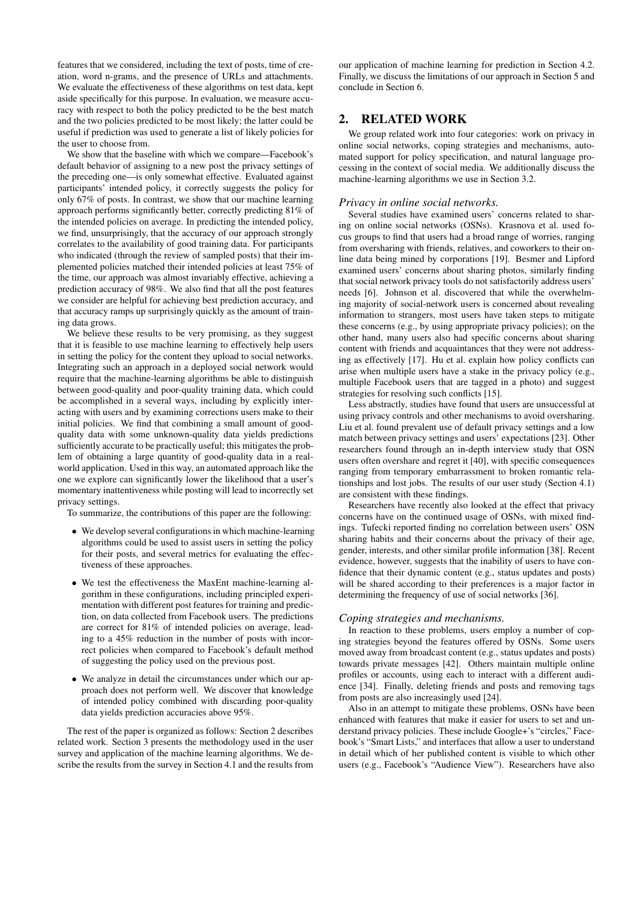features that we considered, including the text of posts, time of creation, word n-grams, and the presence of URLs and attachments. We evaluate the effectiveness of these algorithms on test data, kept aside specifically for this purpose. In evaluation, we measure accuracy with respect to both the policy predicted to be the best match and the two policies predicted to be most likely; the latter could be useful if prediction was used to generate a list of likely policies for the user to choose from.

We show that the baseline with which we compare—Facebook's default behavior of assigning to a new post the privacy settings of the preceding one—is only somewhat effective. Evaluated against participants' intended policy, it correctly suggests the policy for only 67% of posts. In contrast, we show that our machine learning approach performs significantly better, correctly predicting 81% of the intended policies on average. In predicting the intended policy, we find, unsurprisingly, that the accuracy of our approach strongly correlates to the availability of good training data. For participants who indicated (through the review of sampled posts) that their implemented policies matched their intended policies at least 75% of the time, our approach was almost invariably effective, achieving a prediction accuracy of 98%. We also find that all the post features we consider are helpful for achieving best prediction accuracy, and that accuracy ramps up surprisingly quickly as the amount of training data grows.

We believe these results to be very promising, as they suggest that it is feasible to use machine learning to effectively help users in setting the policy for the content they upload to social networks. Integrating such an approach in a deployed social network would require that the machine-learning algorithms be able to distinguish between good-quality and poor-quality training data, which could be accomplished in a several ways, including by explicitly interacting with users and by examining corrections users make to their initial policies. We find that combining a small amount of goodquality data with some unknown-quality data yields predictions sufficiently accurate to be practically useful; this mitigates the problem of obtaining a large quantity of good-quality data in a realworld application. Used in this way, an automated approach like the one we explore can significantly lower the likelihood that a user's momentary inattentiveness while posting will lead to incorrectly set privacy settings.

To summarize, the contributions of this paper are the following:

- We develop several configurations in which machine-learning algorithms could be used to assist users in setting the policy for their posts, and several metrics for evaluating the effectiveness of these approaches.
- We test the effectiveness the MaxEnt machine-learning algorithm in these configurations, including principled experimentation with different post features for training and prediction, on data collected from Facebook users. The predictions are correct for 81% of intended policies on average, leading to a 45% reduction in the number of posts with incorrect policies when compared to Facebook's default method of suggesting the policy used on the previous post.
- We analyze in detail the circumstances under which our approach does not perform well. We discover that knowledge of intended policy combined with discarding poor-quality data yields prediction accuracies above 95%.

The rest of the paper is organized as follows: Section 2 describes related work. Section 3 presents the methodology used in the user survey and application of the machine learning algorithms. We describe the results from the survey in Section 4.1 and the results from

our application of machine learning for prediction in Section 4.2. Finally, we discuss the limitations of our approach in Section 5 and conclude in Section 6.

## 2. RELATED WORK

We group related work into four categories: work on privacy in online social networks, coping strategies and mechanisms, automated support for policy specification, and natural language processing in the context of social media. We additionally discuss the machine-learning algorithms we use in Section 3.2.

## *Privacy in online social networks.*

Several studies have examined users' concerns related to sharing on online social networks (OSNs). Krasnova et al. used focus groups to find that users had a broad range of worries, ranging from oversharing with friends, relatives, and coworkers to their online data being mined by corporations [19]. Besmer and Lipford examined users' concerns about sharing photos, similarly finding that social network privacy tools do not satisfactorily address users' needs [6]. Johnson et al. discovered that while the overwhelming majority of social-network users is concerned about revealing information to strangers, most users have taken steps to mitigate these concerns (e.g., by using appropriate privacy policies); on the other hand, many users also had specific concerns about sharing content with friends and acquaintances that they were not addressing as effectively [17]. Hu et al. explain how policy conflicts can arise when multiple users have a stake in the privacy policy (e.g., multiple Facebook users that are tagged in a photo) and suggest strategies for resolving such conflicts [15].

Less abstractly, studies have found that users are unsuccessful at using privacy controls and other mechanisms to avoid oversharing. Liu et al. found prevalent use of default privacy settings and a low match between privacy settings and users' expectations [23]. Other researchers found through an in-depth interview study that OSN users often overshare and regret it [40], with specific consequences ranging from temporary embarrassment to broken romantic relationships and lost jobs. The results of our user study (Section 4.1) are consistent with these findings.

Researchers have recently also looked at the effect that privacy concerns have on the continued usage of OSNs, with mixed findings. Tufecki reported finding no correlation between users' OSN sharing habits and their concerns about the privacy of their age, gender, interests, and other similar profile information [38]. Recent evidence, however, suggests that the inability of users to have confidence that their dynamic content (e.g., status updates and posts) will be shared according to their preferences is a major factor in determining the frequency of use of social networks [36].

#### *Coping strategies and mechanisms.*

In reaction to these problems, users employ a number of coping strategies beyond the features offered by OSNs. Some users moved away from broadcast content (e.g., status updates and posts) towards private messages [42]. Others maintain multiple online profiles or accounts, using each to interact with a different audience [34]. Finally, deleting friends and posts and removing tags from posts are also increasingly used [24].

Also in an attempt to mitigate these problems, OSNs have been enhanced with features that make it easier for users to set and understand privacy policies. These include Google+'s "circles," Facebook's "Smart Lists," and interfaces that allow a user to understand in detail which of her published content is visible to which other users (e.g., Facebook's "Audience View"). Researchers have also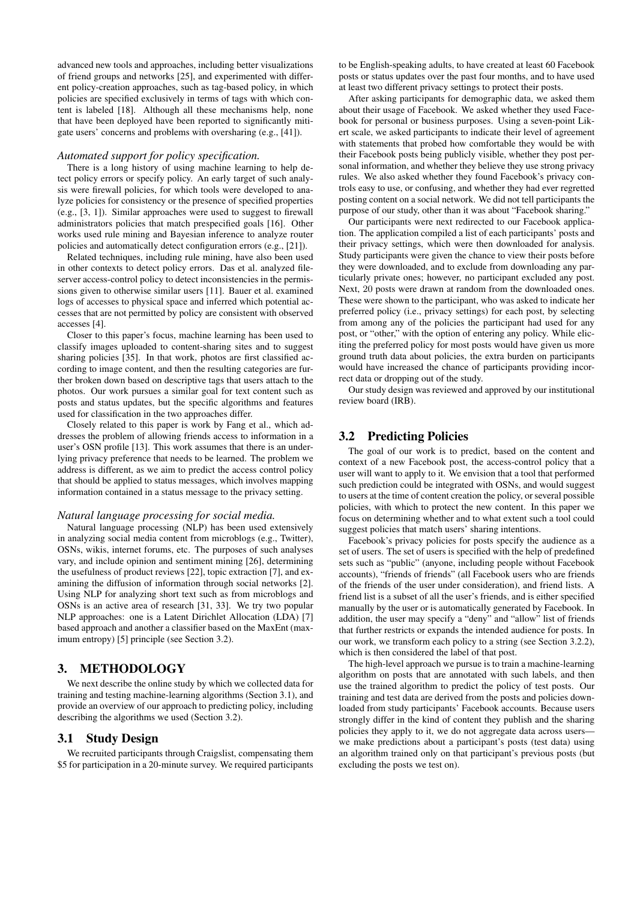advanced new tools and approaches, including better visualizations of friend groups and networks [25], and experimented with different policy-creation approaches, such as tag-based policy, in which policies are specified exclusively in terms of tags with which content is labeled [18]. Although all these mechanisms help, none that have been deployed have been reported to significantly mitigate users' concerns and problems with oversharing (e.g., [41]).

## *Automated support for policy specification.*

There is a long history of using machine learning to help detect policy errors or specify policy. An early target of such analysis were firewall policies, for which tools were developed to analyze policies for consistency or the presence of specified properties (e.g., [3, 1]). Similar approaches were used to suggest to firewall administrators policies that match prespecified goals [16]. Other works used rule mining and Bayesian inference to analyze router policies and automatically detect configuration errors (e.g., [21]).

Related techniques, including rule mining, have also been used in other contexts to detect policy errors. Das et al. analyzed fileserver access-control policy to detect inconsistencies in the permissions given to otherwise similar users [11]. Bauer et al. examined logs of accesses to physical space and inferred which potential accesses that are not permitted by policy are consistent with observed accesses [4].

Closer to this paper's focus, machine learning has been used to classify images uploaded to content-sharing sites and to suggest sharing policies [35]. In that work, photos are first classified according to image content, and then the resulting categories are further broken down based on descriptive tags that users attach to the photos. Our work pursues a similar goal for text content such as posts and status updates, but the specific algorithms and features used for classification in the two approaches differ.

Closely related to this paper is work by Fang et al., which addresses the problem of allowing friends access to information in a user's OSN profile [13]. This work assumes that there is an underlying privacy preference that needs to be learned. The problem we address is different, as we aim to predict the access control policy that should be applied to status messages, which involves mapping information contained in a status message to the privacy setting.

## *Natural language processing for social media.*

Natural language processing (NLP) has been used extensively in analyzing social media content from microblogs (e.g., Twitter), OSNs, wikis, internet forums, etc. The purposes of such analyses vary, and include opinion and sentiment mining [26], determining the usefulness of product reviews [22], topic extraction [7], and examining the diffusion of information through social networks [2]. Using NLP for analyzing short text such as from microblogs and OSNs is an active area of research [31, 33]. We try two popular NLP approaches: one is a Latent Dirichlet Allocation (LDA) [7] based approach and another a classifier based on the MaxEnt (maximum entropy) [5] principle (see Section 3.2).

# 3. METHODOLOGY

We next describe the online study by which we collected data for training and testing machine-learning algorithms (Section 3.1), and provide an overview of our approach to predicting policy, including describing the algorithms we used (Section 3.2).

## 3.1 Study Design

We recruited participants through Craigslist, compensating them \$5 for participation in a 20-minute survey. We required participants to be English-speaking adults, to have created at least 60 Facebook posts or status updates over the past four months, and to have used at least two different privacy settings to protect their posts.

After asking participants for demographic data, we asked them about their usage of Facebook. We asked whether they used Facebook for personal or business purposes. Using a seven-point Likert scale, we asked participants to indicate their level of agreement with statements that probed how comfortable they would be with their Facebook posts being publicly visible, whether they post personal information, and whether they believe they use strong privacy rules. We also asked whether they found Facebook's privacy controls easy to use, or confusing, and whether they had ever regretted posting content on a social network. We did not tell participants the purpose of our study, other than it was about "Facebook sharing."

Our participants were next redirected to our Facebook application. The application compiled a list of each participants' posts and their privacy settings, which were then downloaded for analysis. Study participants were given the chance to view their posts before they were downloaded, and to exclude from downloading any particularly private ones; however, no participant excluded any post. Next, 20 posts were drawn at random from the downloaded ones. These were shown to the participant, who was asked to indicate her preferred policy (i.e., privacy settings) for each post, by selecting from among any of the policies the participant had used for any post, or "other," with the option of entering any policy. While eliciting the preferred policy for most posts would have given us more ground truth data about policies, the extra burden on participants would have increased the chance of participants providing incorrect data or dropping out of the study.

Our study design was reviewed and approved by our institutional review board (IRB).

## 3.2 Predicting Policies

The goal of our work is to predict, based on the content and context of a new Facebook post, the access-control policy that a user will want to apply to it. We envision that a tool that performed such prediction could be integrated with OSNs, and would suggest to users at the time of content creation the policy, or several possible policies, with which to protect the new content. In this paper we focus on determining whether and to what extent such a tool could suggest policies that match users' sharing intentions.

Facebook's privacy policies for posts specify the audience as a set of users. The set of users is specified with the help of predefined sets such as "public" (anyone, including people without Facebook accounts), "friends of friends" (all Facebook users who are friends of the friends of the user under consideration), and friend lists. A friend list is a subset of all the user's friends, and is either specified manually by the user or is automatically generated by Facebook. In addition, the user may specify a "deny" and "allow" list of friends that further restricts or expands the intended audience for posts. In our work, we transform each policy to a string (see Section 3.2.2), which is then considered the label of that post.

The high-level approach we pursue is to train a machine-learning algorithm on posts that are annotated with such labels, and then use the trained algorithm to predict the policy of test posts. Our training and test data are derived from the posts and policies downloaded from study participants' Facebook accounts. Because users strongly differ in the kind of content they publish and the sharing policies they apply to it, we do not aggregate data across users we make predictions about a participant's posts (test data) using an algorithm trained only on that participant's previous posts (but excluding the posts we test on).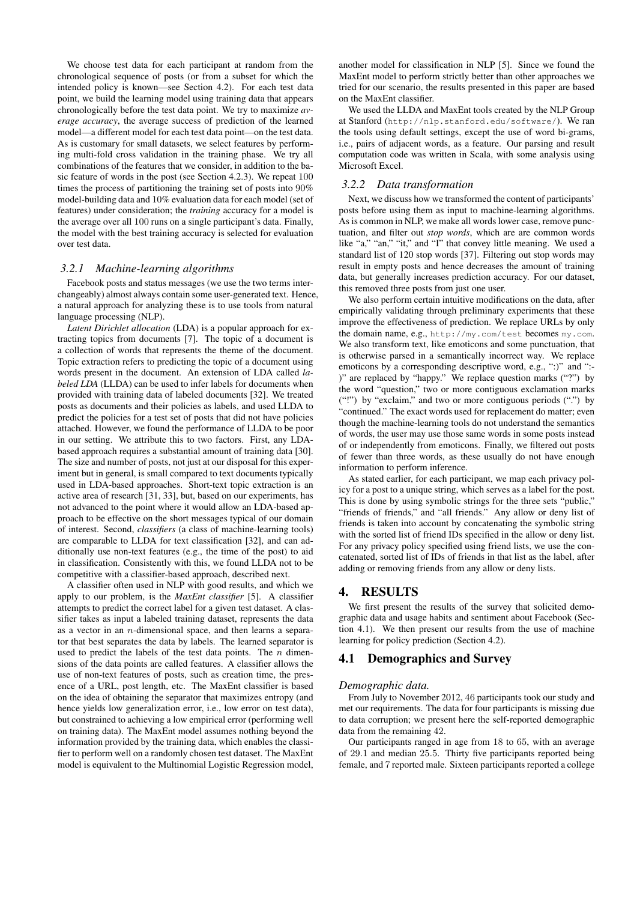We choose test data for each participant at random from the chronological sequence of posts (or from a subset for which the intended policy is known—see Section 4.2). For each test data point, we build the learning model using training data that appears chronologically before the test data point. We try to maximize *average accuracy*, the average success of prediction of the learned model—a different model for each test data point—on the test data. As is customary for small datasets, we select features by performing multi-fold cross validation in the training phase. We try all combinations of the features that we consider, in addition to the basic feature of words in the post (see Section 4.2.3). We repeat 100 times the process of partitioning the training set of posts into 90% model-building data and 10% evaluation data for each model (set of features) under consideration; the *training* accuracy for a model is the average over all 100 runs on a single participant's data. Finally, the model with the best training accuracy is selected for evaluation over test data.

## *3.2.1 Machine-learning algorithms*

Facebook posts and status messages (we use the two terms interchangeably) almost always contain some user-generated text. Hence, a natural approach for analyzing these is to use tools from natural language processing (NLP).

*Latent Dirichlet allocation* (LDA) is a popular approach for extracting topics from documents [7]. The topic of a document is a collection of words that represents the theme of the document. Topic extraction refers to predicting the topic of a document using words present in the document. An extension of LDA called *labeled LDA* (LLDA) can be used to infer labels for documents when provided with training data of labeled documents [32]. We treated posts as documents and their policies as labels, and used LLDA to predict the policies for a test set of posts that did not have policies attached. However, we found the performance of LLDA to be poor in our setting. We attribute this to two factors. First, any LDAbased approach requires a substantial amount of training data [30]. The size and number of posts, not just at our disposal for this experiment but in general, is small compared to text documents typically used in LDA-based approaches. Short-text topic extraction is an active area of research [31, 33], but, based on our experiments, has not advanced to the point where it would allow an LDA-based approach to be effective on the short messages typical of our domain of interest. Second, *classifiers* (a class of machine-learning tools) are comparable to LLDA for text classification [32], and can additionally use non-text features (e.g., the time of the post) to aid in classification. Consistently with this, we found LLDA not to be competitive with a classifier-based approach, described next.

A classifier often used in NLP with good results, and which we apply to our problem, is the *MaxEnt classifier* [5]. A classifier attempts to predict the correct label for a given test dataset. A classifier takes as input a labeled training dataset, represents the data as a vector in an n-dimensional space, and then learns a separator that best separates the data by labels. The learned separator is used to predict the labels of the test data points. The  $n$  dimensions of the data points are called features. A classifier allows the use of non-text features of posts, such as creation time, the presence of a URL, post length, etc. The MaxEnt classifier is based on the idea of obtaining the separator that maximizes entropy (and hence yields low generalization error, i.e., low error on test data), but constrained to achieving a low empirical error (performing well on training data). The MaxEnt model assumes nothing beyond the information provided by the training data, which enables the classifier to perform well on a randomly chosen test dataset. The MaxEnt model is equivalent to the Multinomial Logistic Regression model,

another model for classification in NLP [5]. Since we found the MaxEnt model to perform strictly better than other approaches we tried for our scenario, the results presented in this paper are based on the MaxEnt classifier.

We used the LLDA and MaxEnt tools created by the NLP Group at Stanford (http://nlp.stanford.edu/software/). We ran the tools using default settings, except the use of word bi-grams, i.e., pairs of adjacent words, as a feature. Our parsing and result computation code was written in Scala, with some analysis using Microsoft Excel.

## *3.2.2 Data transformation*

Next, we discuss how we transformed the content of participants' posts before using them as input to machine-learning algorithms. As is common in NLP, we make all words lower case, remove punctuation, and filter out *stop words*, which are are common words like "a," "an," "it," and "I" that convey little meaning. We used a standard list of 120 stop words [37]. Filtering out stop words may result in empty posts and hence decreases the amount of training data, but generally increases prediction accuracy. For our dataset, this removed three posts from just one user.

We also perform certain intuitive modifications on the data, after empirically validating through preliminary experiments that these improve the effectiveness of prediction. We replace URLs by only the domain name, e.g., http://my.com/test becomes my.com. We also transform text, like emoticons and some punctuation, that is otherwise parsed in a semantically incorrect way. We replace emoticons by a corresponding descriptive word, e.g., ":)" and ":- )" are replaced by "happy." We replace question marks ("?") by the word "question," two or more contiguous exclamation marks ("!") by "exclaim," and two or more contiguous periods (".") by "continued." The exact words used for replacement do matter; even though the machine-learning tools do not understand the semantics of words, the user may use those same words in some posts instead of or independently from emoticons. Finally, we filtered out posts of fewer than three words, as these usually do not have enough information to perform inference.

As stated earlier, for each participant, we map each privacy policy for a post to a unique string, which serves as a label for the post. This is done by using symbolic strings for the three sets "public," "friends of friends," and "all friends." Any allow or deny list of friends is taken into account by concatenating the symbolic string with the sorted list of friend IDs specified in the allow or deny list. For any privacy policy specified using friend lists, we use the concatenated, sorted list of IDs of friends in that list as the label, after adding or removing friends from any allow or deny lists.

## 4. RESULTS

We first present the results of the survey that solicited demographic data and usage habits and sentiment about Facebook (Section 4.1). We then present our results from the use of machine learning for policy prediction (Section 4.2).

## 4.1 Demographics and Survey

#### *Demographic data.*

From July to November 2012, 46 participants took our study and met our requirements. The data for four participants is missing due to data corruption; we present here the self-reported demographic data from the remaining 42.

Our participants ranged in age from 18 to 65, with an average of 29.1 and median 25.5. Thirty five participants reported being female, and 7 reported male. Sixteen participants reported a college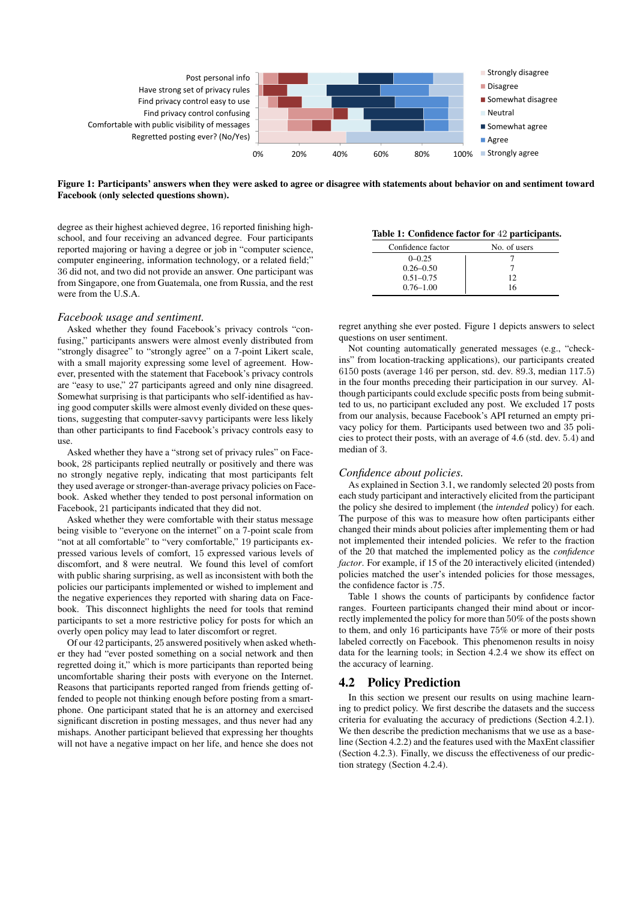



degree as their highest achieved degree, 16 reported finishing highschool, and four receiving an advanced degree. Four participants reported majoring or having a degree or job in "computer science, computer engineering, information technology, or a related field;" 36 did not, and two did not provide an answer. One participant was from Singapore, one from Guatemala, one from Russia, and the rest were from the U.S.A.

#### *Facebook usage and sentiment.*

Asked whether they found Facebook's privacy controls "confusing," participants answers were almost evenly distributed from "strongly disagree" to "strongly agree" on a 7-point Likert scale, with a small majority expressing some level of agreement. However, presented with the statement that Facebook's privacy controls are "easy to use," 27 participants agreed and only nine disagreed. Somewhat surprising is that participants who self-identified as having good computer skills were almost evenly divided on these questions, suggesting that computer-savvy participants were less likely than other participants to find Facebook's privacy controls easy to use.

Asked whether they have a "strong set of privacy rules" on Facebook, 28 participants replied neutrally or positively and there was no strongly negative reply, indicating that most participants felt they used average or stronger-than-average privacy policies on Facebook. Asked whether they tended to post personal information on Facebook, 21 participants indicated that they did not.

Asked whether they were comfortable with their status message being visible to "everyone on the internet" on a 7-point scale from "not at all comfortable" to "very comfortable," 19 participants expressed various levels of comfort, 15 expressed various levels of discomfort, and 8 were neutral. We found this level of comfort with public sharing surprising, as well as inconsistent with both the policies our participants implemented or wished to implement and the negative experiences they reported with sharing data on Facebook. This disconnect highlights the need for tools that remind participants to set a more restrictive policy for posts for which an overly open policy may lead to later discomfort or regret.

Of our 42 participants, 25 answered positively when asked whether they had "ever posted something on a social network and then regretted doing it," which is more participants than reported being uncomfortable sharing their posts with everyone on the Internet. Reasons that participants reported ranged from friends getting offended to people not thinking enough before posting from a smartphone. One participant stated that he is an attorney and exercised significant discretion in posting messages, and thus never had any mishaps. Another participant believed that expressing her thoughts will not have a negative impact on her life, and hence she does not

#### Table 1: Confidence factor for 42 participants.

| Confidence factor | No. of users |
|-------------------|--------------|
| $0 - 0.25$        |              |
| $0.26 - 0.50$     |              |
| $0.51 - 0.75$     | 12           |
| $0.76 - 1.00$     | 16           |

regret anything she ever posted. Figure 1 depicts answers to select questions on user sentiment.

Not counting automatically generated messages (e.g., "checkins" from location-tracking applications), our participants created 6150 posts (average 146 per person, std. dev. 89.3, median 117.5) in the four months preceding their participation in our survey. Although participants could exclude specific posts from being submitted to us, no participant excluded any post. We excluded 17 posts from our analysis, because Facebook's API returned an empty privacy policy for them. Participants used between two and 35 policies to protect their posts, with an average of 4.6 (std. dev. 5.4) and median of 3.

#### *Confidence about policies.*

As explained in Section 3.1, we randomly selected 20 posts from each study participant and interactively elicited from the participant the policy she desired to implement (the *intended* policy) for each. The purpose of this was to measure how often participants either changed their minds about policies after implementing them or had not implemented their intended policies. We refer to the fraction of the 20 that matched the implemented policy as the *confidence factor*. For example, if 15 of the 20 interactively elicited (intended) policies matched the user's intended policies for those messages, the confidence factor is .75.

Table 1 shows the counts of participants by confidence factor ranges. Fourteen participants changed their mind about or incorrectly implemented the policy for more than 50% of the posts shown to them, and only 16 participants have 75% or more of their posts labeled correctly on Facebook. This phenomenon results in noisy data for the learning tools; in Section 4.2.4 we show its effect on the accuracy of learning.

## 4.2 Policy Prediction

In this section we present our results on using machine learning to predict policy. We first describe the datasets and the success criteria for evaluating the accuracy of predictions (Section 4.2.1). We then describe the prediction mechanisms that we use as a baseline (Section 4.2.2) and the features used with the MaxEnt classifier (Section 4.2.3). Finally, we discuss the effectiveness of our prediction strategy (Section 4.2.4).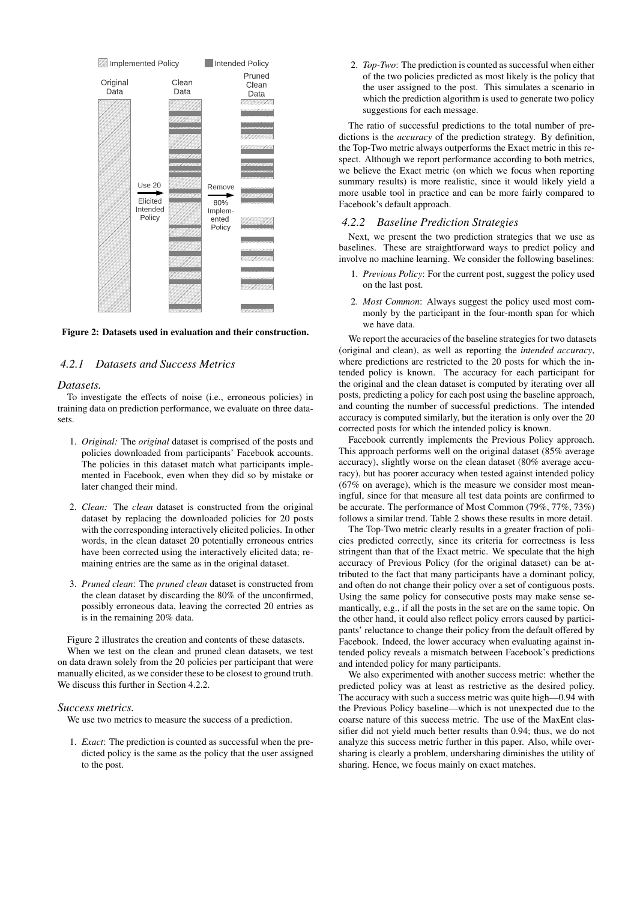

Figure 2: Datasets used in evaluation and their construction.

## *4.2.1 Datasets and Success Metrics*

#### *Datasets.*

To investigate the effects of noise (i.e., erroneous policies) in training data on prediction performance, we evaluate on three datasets.

- 1. *Original:* The *original* dataset is comprised of the posts and policies downloaded from participants' Facebook accounts. The policies in this dataset match what participants implemented in Facebook, even when they did so by mistake or later changed their mind.
- 2. *Clean:* The *clean* dataset is constructed from the original dataset by replacing the downloaded policies for 20 posts with the corresponding interactively elicited policies. In other words, in the clean dataset 20 potentially erroneous entries have been corrected using the interactively elicited data; remaining entries are the same as in the original dataset.
- 3. *Pruned clean*: The *pruned clean* dataset is constructed from the clean dataset by discarding the 80% of the unconfirmed, possibly erroneous data, leaving the corrected 20 entries as is in the remaining 20% data.

Figure 2 illustrates the creation and contents of these datasets. When we test on the clean and pruned clean datasets, we test on data drawn solely from the 20 policies per participant that were manually elicited, as we consider these to be closest to ground truth. We discuss this further in Section 4.2.2.

## *Success metrics.*

We use two metrics to measure the success of a prediction.

1. *Exact*: The prediction is counted as successful when the predicted policy is the same as the policy that the user assigned to the post.

2. *Top-Two*: The prediction is counted as successful when either of the two policies predicted as most likely is the policy that the user assigned to the post. This simulates a scenario in which the prediction algorithm is used to generate two policy suggestions for each message.

The ratio of successful predictions to the total number of predictions is the *accuracy* of the prediction strategy. By definition, the Top-Two metric always outperforms the Exact metric in this respect. Although we report performance according to both metrics, we believe the Exact metric (on which we focus when reporting summary results) is more realistic, since it would likely yield a more usable tool in practice and can be more fairly compared to Facebook's default approach.

## *4.2.2 Baseline Prediction Strategies*

Next, we present the two prediction strategies that we use as baselines. These are straightforward ways to predict policy and involve no machine learning. We consider the following baselines:

- 1. *Previous Policy*: For the current post, suggest the policy used on the last post.
- 2. *Most Common*: Always suggest the policy used most commonly by the participant in the four-month span for which we have data.

We report the accuracies of the baseline strategies for two datasets (original and clean), as well as reporting the *intended accuracy*, where predictions are restricted to the 20 posts for which the intended policy is known. The accuracy for each participant for the original and the clean dataset is computed by iterating over all posts, predicting a policy for each post using the baseline approach, and counting the number of successful predictions. The intended accuracy is computed similarly, but the iteration is only over the 20 corrected posts for which the intended policy is known.

Facebook currently implements the Previous Policy approach. This approach performs well on the original dataset (85% average accuracy), slightly worse on the clean dataset (80% average accuracy), but has poorer accuracy when tested against intended policy (67% on average), which is the measure we consider most meaningful, since for that measure all test data points are confirmed to be accurate. The performance of Most Common (79%, 77%, 73%) follows a similar trend. Table 2 shows these results in more detail.

The Top-Two metric clearly results in a greater fraction of policies predicted correctly, since its criteria for correctness is less stringent than that of the Exact metric. We speculate that the high accuracy of Previous Policy (for the original dataset) can be attributed to the fact that many participants have a dominant policy, and often do not change their policy over a set of contiguous posts. Using the same policy for consecutive posts may make sense semantically, e.g., if all the posts in the set are on the same topic. On the other hand, it could also reflect policy errors caused by participants' reluctance to change their policy from the default offered by Facebook. Indeed, the lower accuracy when evaluating against intended policy reveals a mismatch between Facebook's predictions and intended policy for many participants.

We also experimented with another success metric: whether the predicted policy was at least as restrictive as the desired policy. The accuracy with such a success metric was quite high—0.94 with the Previous Policy baseline—which is not unexpected due to the coarse nature of this success metric. The use of the MaxEnt classifier did not yield much better results than 0.94; thus, we do not analyze this success metric further in this paper. Also, while oversharing is clearly a problem, undersharing diminishes the utility of sharing. Hence, we focus mainly on exact matches.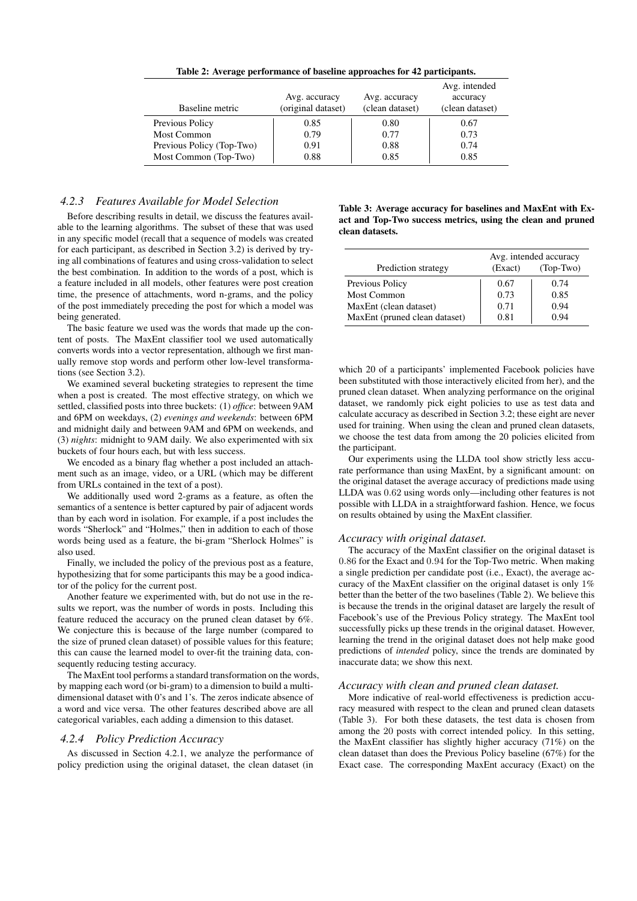|                           |                                     |                                  | Avg. intended               |
|---------------------------|-------------------------------------|----------------------------------|-----------------------------|
| Baseline metric           | Avg. accuracy<br>(original dataset) | Avg. accuracy<br>(clean dataset) | accuracy<br>(clean dataset) |
|                           |                                     |                                  |                             |
| Previous Policy           | 0.85                                | 0.80                             | 0.67                        |
| Most Common               | 0.79                                | 0.77                             | 0.73                        |
| Previous Policy (Top-Two) | 0.91                                | 0.88                             | 0.74                        |
| Most Common (Top-Two)     | 0.88                                | 0.85                             | 0.85                        |

#### Table 2: Average performance of baseline approaches for 42 participants.

## *4.2.3 Features Available for Model Selection*

Before describing results in detail, we discuss the features available to the learning algorithms. The subset of these that was used in any specific model (recall that a sequence of models was created for each participant, as described in Section 3.2) is derived by trying all combinations of features and using cross-validation to select the best combination. In addition to the words of a post, which is a feature included in all models, other features were post creation time, the presence of attachments, word n-grams, and the policy of the post immediately preceding the post for which a model was being generated.

The basic feature we used was the words that made up the content of posts. The MaxEnt classifier tool we used automatically converts words into a vector representation, although we first manually remove stop words and perform other low-level transformations (see Section 3.2).

We examined several bucketing strategies to represent the time when a post is created. The most effective strategy, on which we settled, classified posts into three buckets: (1) *office*: between 9AM and 6PM on weekdays, (2) *evenings and weekends*: between 6PM and midnight daily and between 9AM and 6PM on weekends, and (3) *nights*: midnight to 9AM daily. We also experimented with six buckets of four hours each, but with less success.

We encoded as a binary flag whether a post included an attachment such as an image, video, or a URL (which may be different from URLs contained in the text of a post).

We additionally used word 2-grams as a feature, as often the semantics of a sentence is better captured by pair of adjacent words than by each word in isolation. For example, if a post includes the words "Sherlock" and "Holmes," then in addition to each of those words being used as a feature, the bi-gram "Sherlock Holmes" is also used.

Finally, we included the policy of the previous post as a feature, hypothesizing that for some participants this may be a good indicator of the policy for the current post.

Another feature we experimented with, but do not use in the results we report, was the number of words in posts. Including this feature reduced the accuracy on the pruned clean dataset by 6%. We conjecture this is because of the large number (compared to the size of pruned clean dataset) of possible values for this feature; this can cause the learned model to over-fit the training data, consequently reducing testing accuracy.

The MaxEnt tool performs a standard transformation on the words, by mapping each word (or bi-gram) to a dimension to build a multidimensional dataset with 0's and 1's. The zeros indicate absence of a word and vice versa. The other features described above are all categorical variables, each adding a dimension to this dataset.

## *4.2.4 Policy Prediction Accuracy*

As discussed in Section 4.2.1, we analyze the performance of policy prediction using the original dataset, the clean dataset (in

Table 3: Average accuracy for baselines and MaxEnt with Exact and Top-Two success metrics, using the clean and pruned clean datasets.

|                               | Avg. intended accuracy |             |
|-------------------------------|------------------------|-------------|
| Prediction strategy           | (Exact)                | $(Top-Two)$ |
| Previous Policy               | 0.67                   | 0.74        |
| <b>Most Common</b>            | 0.73                   | 0.85        |
| MaxEnt (clean dataset)        | 0.71                   | 0.94        |
| MaxEnt (pruned clean dataset) | 0.81                   | 0.94        |

which 20 of a participants' implemented Facebook policies have been substituted with those interactively elicited from her), and the pruned clean dataset. When analyzing performance on the original dataset, we randomly pick eight policies to use as test data and calculate accuracy as described in Section 3.2; these eight are never used for training. When using the clean and pruned clean datasets, we choose the test data from among the 20 policies elicited from the participant.

Our experiments using the LLDA tool show strictly less accurate performance than using MaxEnt, by a significant amount: on the original dataset the average accuracy of predictions made using LLDA was 0.62 using words only—including other features is not possible with LLDA in a straightforward fashion. Hence, we focus on results obtained by using the MaxEnt classifier.

#### *Accuracy with original dataset.*

The accuracy of the MaxEnt classifier on the original dataset is 0.86 for the Exact and 0.94 for the Top-Two metric. When making a single prediction per candidate post (i.e., Exact), the average accuracy of the MaxEnt classifier on the original dataset is only 1% better than the better of the two baselines (Table 2). We believe this is because the trends in the original dataset are largely the result of Facebook's use of the Previous Policy strategy. The MaxEnt tool successfully picks up these trends in the original dataset. However, learning the trend in the original dataset does not help make good predictions of *intended* policy, since the trends are dominated by inaccurate data; we show this next.

#### *Accuracy with clean and pruned clean dataset.*

More indicative of real-world effectiveness is prediction accuracy measured with respect to the clean and pruned clean datasets (Table 3). For both these datasets, the test data is chosen from among the 20 posts with correct intended policy. In this setting, the MaxEnt classifier has slightly higher accuracy (71%) on the clean dataset than does the Previous Policy baseline (67%) for the Exact case. The corresponding MaxEnt accuracy (Exact) on the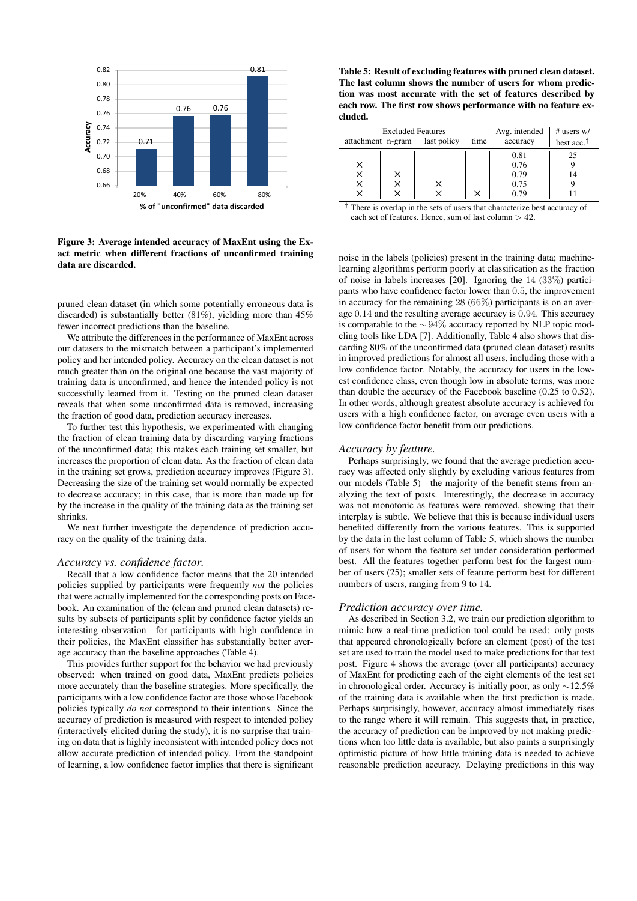

Figure 3: Average intended accuracy of MaxEnt using the Exact metric when different fractions of unconfirmed training data are discarded.

pruned clean dataset (in which some potentially erroneous data is discarded) is substantially better (81%), yielding more than 45% fewer incorrect predictions than the baseline.

We attribute the differences in the performance of MaxEnt across our datasets to the mismatch between a participant's implemented policy and her intended policy. Accuracy on the clean dataset is not much greater than on the original one because the vast majority of training data is unconfirmed, and hence the intended policy is not successfully learned from it. Testing on the pruned clean dataset reveals that when some unconfirmed data is removed, increasing the fraction of good data, prediction accuracy increases.

To further test this hypothesis, we experimented with changing the fraction of clean training data by discarding varying fractions of the unconfirmed data; this makes each training set smaller, but increases the proportion of clean data. As the fraction of clean data in the training set grows, prediction accuracy improves (Figure 3). Decreasing the size of the training set would normally be expected to decrease accuracy; in this case, that is more than made up for by the increase in the quality of the training data as the training set shrinks.

We next further investigate the dependence of prediction accuracy on the quality of the training data.

#### *Accuracy vs. confidence factor.*

Recall that a low confidence factor means that the 20 intended policies supplied by participants were frequently *not* the policies that were actually implemented for the corresponding posts on Facebook. An examination of the (clean and pruned clean datasets) results by subsets of participants split by confidence factor yields an interesting observation—for participants with high confidence in their policies, the MaxEnt classifier has substantially better average accuracy than the baseline approaches (Table 4).

This provides further support for the behavior we had previously observed: when trained on good data, MaxEnt predicts policies more accurately than the baseline strategies. More specifically, the participants with a low confidence factor are those whose Facebook policies typically *do not* correspond to their intentions. Since the accuracy of prediction is measured with respect to intended policy (interactively elicited during the study), it is no surprise that training on data that is highly inconsistent with intended policy does not allow accurate prediction of intended policy. From the standpoint of learning, a low confidence factor implies that there is significant

Table 5: Result of excluding features with pruned clean dataset. The last column shows the number of users for whom prediction was most accurate with the set of features described by each row. The first row shows performance with no feature excluded.

| <b>Excluded Features</b><br>last policy<br>attachment n-gram |  |  | time | Avg. intended<br>accuracy            | # users w/<br>best acc. <sup><math>\dagger</math></sup> |
|--------------------------------------------------------------|--|--|------|--------------------------------------|---------------------------------------------------------|
| ×<br>$\times$<br>$\times$                                    |  |  |      | 0.81<br>0.76<br>0.79<br>0.75<br>0.79 | 25<br>14                                                |

† There is overlap in the sets of users that characterize best accuracy of each set of features. Hence, sum of last column  $> 42$ .

noise in the labels (policies) present in the training data; machinelearning algorithms perform poorly at classification as the fraction of noise in labels increases [20]. Ignoring the 14 (33%) participants who have confidence factor lower than 0.5, the improvement in accuracy for the remaining 28 (66%) participants is on an average 0.14 and the resulting average accuracy is 0.94. This accuracy is comparable to the ∼94% accuracy reported by NLP topic modeling tools like LDA [7]. Additionally, Table 4 also shows that discarding 80% of the unconfirmed data (pruned clean dataset) results in improved predictions for almost all users, including those with a low confidence factor. Notably, the accuracy for users in the lowest confidence class, even though low in absolute terms, was more than double the accuracy of the Facebook baseline (0.25 to 0.52). In other words, although greatest absolute accuracy is achieved for users with a high confidence factor, on average even users with a low confidence factor benefit from our predictions.

#### *Accuracy by feature.*

Perhaps surprisingly, we found that the average prediction accuracy was affected only slightly by excluding various features from our models (Table 5)—the majority of the benefit stems from analyzing the text of posts. Interestingly, the decrease in accuracy was not monotonic as features were removed, showing that their interplay is subtle. We believe that this is because individual users benefited differently from the various features. This is supported by the data in the last column of Table 5, which shows the number of users for whom the feature set under consideration performed best. All the features together perform best for the largest number of users (25); smaller sets of feature perform best for different numbers of users, ranging from 9 to 14.

#### *Prediction accuracy over time.*

As described in Section 3.2, we train our prediction algorithm to mimic how a real-time prediction tool could be used: only posts that appeared chronologically before an element (post) of the test set are used to train the model used to make predictions for that test post. Figure 4 shows the average (over all participants) accuracy of MaxEnt for predicting each of the eight elements of the test set in chronological order. Accuracy is initially poor, as only ∼12.5% of the training data is available when the first prediction is made. Perhaps surprisingly, however, accuracy almost immediately rises to the range where it will remain. This suggests that, in practice, the accuracy of prediction can be improved by not making predictions when too little data is available, but also paints a surprisingly optimistic picture of how little training data is needed to achieve reasonable prediction accuracy. Delaying predictions in this way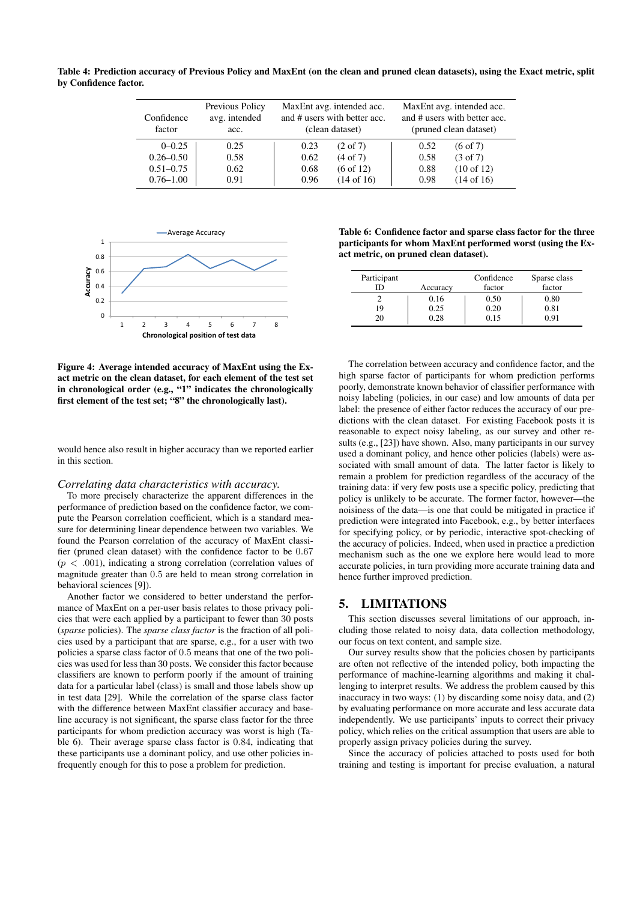Table 4: Prediction accuracy of Previous Policy and MaxEnt (on the clean and pruned clean datasets), using the Exact metric, split by Confidence factor.

| Confidence<br>factor                                          | Previous Policy<br>avg. intended<br>acc. | MaxEnt avg. intended acc.<br>and # users with better acc.<br>(clean dataset)                            | MaxEnt avg. intended acc.<br>and # users with better acc.<br>(pruned clean dataset)                                 |
|---------------------------------------------------------------|------------------------------------------|---------------------------------------------------------------------------------------------------------|---------------------------------------------------------------------------------------------------------------------|
| $0 - 0.25$<br>$0.26 - 0.50$<br>$0.51 - 0.75$<br>$0.76 - 1.00$ | 0.25<br>0.58<br>0.62<br>0.91             | $(2 \text{ of } 7)$<br>0.23<br>(4 of 7)<br>0.62<br>$(6 \text{ of } 12)$<br>0.68<br>$(14$ of 16)<br>0.96 | 0.52<br>$(6 \text{ of } 7)$<br>$(3 \text{ of } 7)$<br>0.58<br>$(10 \text{ of } 12)$<br>0.88<br>$(14$ of 16)<br>0.98 |



Figure 4: Average intended accuracy of MaxEnt using the Exact metric on the clean dataset, for each element of the test set in chronological order (e.g., "1" indicates the chronologically first element of the test set; "8" the chronologically last).

would hence also result in higher accuracy than we reported earlier in this section.

#### *Correlating data characteristics with accuracy.*

To more precisely characterize the apparent differences in the performance of prediction based on the confidence factor, we compute the Pearson correlation coefficient, which is a standard measure for determining linear dependence between two variables. We found the Pearson correlation of the accuracy of MaxEnt classifier (pruned clean dataset) with the confidence factor to be 0.67  $(p < .001)$ , indicating a strong correlation (correlation values of magnitude greater than 0.5 are held to mean strong correlation in behavioral sciences [9]).

Another factor we considered to better understand the performance of MaxEnt on a per-user basis relates to those privacy policies that were each applied by a participant to fewer than 30 posts (*sparse* policies). The *sparse class factor* is the fraction of all policies used by a participant that are sparse, e.g., for a user with two policies a sparse class factor of 0.5 means that one of the two policies was used for less than 30 posts. We consider this factor because classifiers are known to perform poorly if the amount of training data for a particular label (class) is small and those labels show up in test data [29]. While the correlation of the sparse class factor with the difference between MaxEnt classifier accuracy and baseline accuracy is not significant, the sparse class factor for the three participants for whom prediction accuracy was worst is high (Table 6). Their average sparse class factor is 0.84, indicating that these participants use a dominant policy, and use other policies infrequently enough for this to pose a problem for prediction.

Table 6: Confidence factor and sparse class factor for the three participants for whom MaxEnt performed worst (using the Exact metric, on pruned clean dataset).

| Participant<br>ID | Accuracy | Confidence<br>factor | Sparse class<br>factor |
|-------------------|----------|----------------------|------------------------|
|                   | 0.16     | 0.50                 | 0.80                   |
| 19                | 0.25     | 0.20                 | 0.81                   |
| 20                | 0.28     | 0.15                 | 0.91                   |

The correlation between accuracy and confidence factor, and the high sparse factor of participants for whom prediction performs poorly, demonstrate known behavior of classifier performance with noisy labeling (policies, in our case) and low amounts of data per label: the presence of either factor reduces the accuracy of our predictions with the clean dataset. For existing Facebook posts it is reasonable to expect noisy labeling, as our survey and other results (e.g., [23]) have shown. Also, many participants in our survey used a dominant policy, and hence other policies (labels) were associated with small amount of data. The latter factor is likely to remain a problem for prediction regardless of the accuracy of the training data: if very few posts use a specific policy, predicting that policy is unlikely to be accurate. The former factor, however—the noisiness of the data—is one that could be mitigated in practice if prediction were integrated into Facebook, e.g., by better interfaces for specifying policy, or by periodic, interactive spot-checking of the accuracy of policies. Indeed, when used in practice a prediction mechanism such as the one we explore here would lead to more accurate policies, in turn providing more accurate training data and hence further improved prediction.

## 5. LIMITATIONS

This section discusses several limitations of our approach, including those related to noisy data, data collection methodology, our focus on text content, and sample size.

Our survey results show that the policies chosen by participants are often not reflective of the intended policy, both impacting the performance of machine-learning algorithms and making it challenging to interpret results. We address the problem caused by this inaccuracy in two ways: (1) by discarding some noisy data, and (2) by evaluating performance on more accurate and less accurate data independently. We use participants' inputs to correct their privacy policy, which relies on the critical assumption that users are able to properly assign privacy policies during the survey.

Since the accuracy of policies attached to posts used for both training and testing is important for precise evaluation, a natural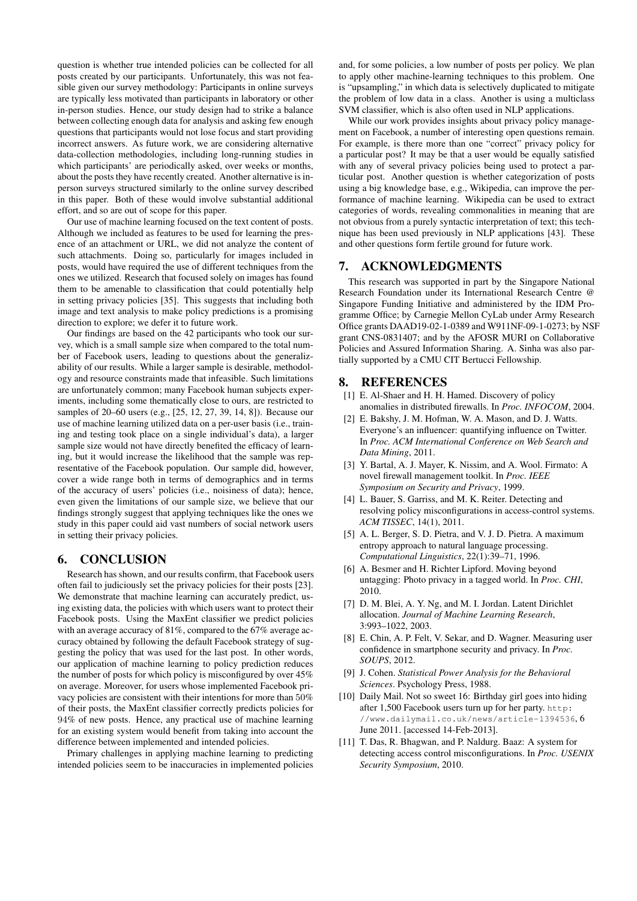question is whether true intended policies can be collected for all posts created by our participants. Unfortunately, this was not feasible given our survey methodology: Participants in online surveys are typically less motivated than participants in laboratory or other in-person studies. Hence, our study design had to strike a balance between collecting enough data for analysis and asking few enough questions that participants would not lose focus and start providing incorrect answers. As future work, we are considering alternative data-collection methodologies, including long-running studies in which participants' are periodically asked, over weeks or months, about the posts they have recently created. Another alternative is inperson surveys structured similarly to the online survey described in this paper. Both of these would involve substantial additional effort, and so are out of scope for this paper.

Our use of machine learning focused on the text content of posts. Although we included as features to be used for learning the presence of an attachment or URL, we did not analyze the content of such attachments. Doing so, particularly for images included in posts, would have required the use of different techniques from the ones we utilized. Research that focused solely on images has found them to be amenable to classification that could potentially help in setting privacy policies [35]. This suggests that including both image and text analysis to make policy predictions is a promising direction to explore; we defer it to future work.

Our findings are based on the 42 participants who took our survey, which is a small sample size when compared to the total number of Facebook users, leading to questions about the generalizability of our results. While a larger sample is desirable, methodology and resource constraints made that infeasible. Such limitations are unfortunately common; many Facebook human subjects experiments, including some thematically close to ours, are restricted to samples of 20–60 users (e.g., [25, 12, 27, 39, 14, 8]). Because our use of machine learning utilized data on a per-user basis (i.e., training and testing took place on a single individual's data), a larger sample size would not have directly benefited the efficacy of learning, but it would increase the likelihood that the sample was representative of the Facebook population. Our sample did, however, cover a wide range both in terms of demographics and in terms of the accuracy of users' policies (i.e., noisiness of data); hence, even given the limitations of our sample size, we believe that our findings strongly suggest that applying techniques like the ones we study in this paper could aid vast numbers of social network users in setting their privacy policies.

# 6. CONCLUSION

Research has shown, and our results confirm, that Facebook users often fail to judiciously set the privacy policies for their posts [23]. We demonstrate that machine learning can accurately predict, using existing data, the policies with which users want to protect their Facebook posts. Using the MaxEnt classifier we predict policies with an average accuracy of 81%, compared to the 67% average accuracy obtained by following the default Facebook strategy of suggesting the policy that was used for the last post. In other words, our application of machine learning to policy prediction reduces the number of posts for which policy is misconfigured by over 45% on average. Moreover, for users whose implemented Facebook privacy policies are consistent with their intentions for more than 50% of their posts, the MaxEnt classifier correctly predicts policies for 94% of new posts. Hence, any practical use of machine learning for an existing system would benefit from taking into account the difference between implemented and intended policies.

Primary challenges in applying machine learning to predicting intended policies seem to be inaccuracies in implemented policies and, for some policies, a low number of posts per policy. We plan to apply other machine-learning techniques to this problem. One is "upsampling," in which data is selectively duplicated to mitigate the problem of low data in a class. Another is using a multiclass SVM classifier, which is also often used in NLP applications.

While our work provides insights about privacy policy management on Facebook, a number of interesting open questions remain. For example, is there more than one "correct" privacy policy for a particular post? It may be that a user would be equally satisfied with any of several privacy policies being used to protect a particular post. Another question is whether categorization of posts using a big knowledge base, e.g., Wikipedia, can improve the performance of machine learning. Wikipedia can be used to extract categories of words, revealing commonalities in meaning that are not obvious from a purely syntactic interpretation of text; this technique has been used previously in NLP applications [43]. These and other questions form fertile ground for future work.

## 7. ACKNOWLEDGMENTS

This research was supported in part by the Singapore National Research Foundation under its International Research Centre @ Singapore Funding Initiative and administered by the IDM Programme Office; by Carnegie Mellon CyLab under Army Research Office grants DAAD19-02-1-0389 and W911NF-09-1-0273; by NSF grant CNS-0831407; and by the AFOSR MURI on Collaborative Policies and Assured Information Sharing. A. Sinha was also partially supported by a CMU CIT Bertucci Fellowship.

## 8. REFERENCES

- [1] E. Al-Shaer and H. H. Hamed. Discovery of policy anomalies in distributed firewalls. In *Proc. INFOCOM*, 2004.
- [2] E. Bakshy, J. M. Hofman, W. A. Mason, and D. J. Watts. Everyone's an influencer: quantifying influence on Twitter. In *Proc. ACM International Conference on Web Search and Data Mining*, 2011.
- [3] Y. Bartal, A. J. Mayer, K. Nissim, and A. Wool. Firmato: A novel firewall management toolkit. In *Proc. IEEE Symposium on Security and Privacy*, 1999.
- [4] L. Bauer, S. Garriss, and M. K. Reiter. Detecting and resolving policy misconfigurations in access-control systems. *ACM TISSEC*, 14(1), 2011.
- [5] A. L. Berger, S. D. Pietra, and V. J. D. Pietra. A maximum entropy approach to natural language processing. *Computational Linguistics*, 22(1):39–71, 1996.
- [6] A. Besmer and H. Richter Lipford. Moving beyond untagging: Photo privacy in a tagged world. In *Proc. CHI*, 2010.
- [7] D. M. Blei, A. Y. Ng, and M. I. Jordan. Latent Dirichlet allocation. *Journal of Machine Learning Research*, 3:993–1022, 2003.
- [8] E. Chin, A. P. Felt, V. Sekar, and D. Wagner. Measuring user confidence in smartphone security and privacy. In *Proc. SOUPS*, 2012.
- [9] J. Cohen. *Statistical Power Analysis for the Behavioral Sciences*. Psychology Press, 1988.
- [10] Daily Mail. Not so sweet 16: Birthday girl goes into hiding after 1,500 Facebook users turn up for her party. http: //www.dailymail.co.uk/news/article-1394536, 6 June 2011. [accessed 14-Feb-2013].
- [11] T. Das, R. Bhagwan, and P. Naldurg. Baaz: A system for detecting access control misconfigurations. In *Proc. USENIX Security Symposium*, 2010.